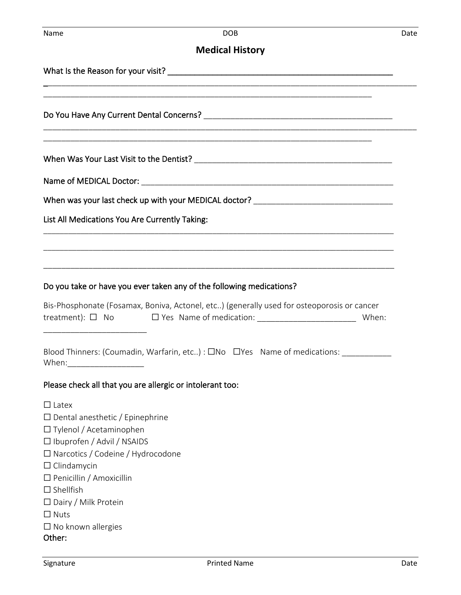#### **Medical History**

\_\_\_\_\_\_\_\_\_\_\_\_\_\_\_\_\_\_\_\_\_\_\_\_\_\_\_\_\_\_\_\_\_\_\_\_\_\_\_\_\_\_\_\_\_\_\_\_\_\_\_\_\_\_\_\_\_\_\_\_\_\_\_\_\_\_\_\_\_\_\_\_\_\_\_\_\_\_\_\_\_\_\_

\_\_\_\_\_\_\_\_\_\_\_\_\_\_\_\_\_\_\_\_\_\_\_\_\_\_\_\_\_\_\_\_\_\_\_\_\_\_\_\_\_\_\_\_\_\_\_\_\_\_\_\_\_\_\_\_\_\_\_\_\_\_\_\_\_\_\_\_\_\_\_\_\_\_\_\_\_\_\_\_\_\_\_

\_\_\_\_\_\_\_\_\_\_\_\_\_\_\_\_\_\_\_\_\_\_\_\_\_\_\_\_\_\_\_\_\_\_\_\_\_\_\_\_\_\_\_\_\_\_\_\_\_\_\_\_\_\_\_\_\_\_\_\_\_\_\_\_\_\_\_\_\_\_\_\_\_

\_\_\_\_\_\_\_\_\_\_\_\_\_\_\_\_\_\_\_\_\_\_\_\_\_\_\_\_\_\_\_\_\_\_\_\_\_\_\_\_\_\_\_\_\_\_\_\_\_\_\_\_\_\_\_\_\_\_\_\_\_\_\_\_\_\_\_\_\_\_\_\_\_

What Is the Reason for your visit? What Is the Reason for your visit?

Do You Have Any Current Dental Concerns? \_\_\_\_\_\_\_\_\_\_\_\_\_\_\_\_\_\_\_\_\_\_\_\_\_\_\_\_\_\_\_\_\_\_\_\_\_\_\_\_\_\_

When Was Your Last Visit to the Dentist? \_\_\_\_\_\_\_\_\_\_\_\_\_\_\_\_\_\_\_\_\_\_\_\_\_\_\_\_\_\_\_\_\_\_\_\_\_\_\_\_\_\_\_\_

Name of MEDICAL Doctor: \_\_\_\_\_\_\_\_\_\_\_\_\_\_\_\_\_\_\_\_\_\_\_\_\_\_\_\_\_\_\_\_\_\_\_\_\_\_\_\_\_\_\_\_\_\_\_\_\_\_\_\_\_\_\_\_

When was your last check up with your MEDICAL doctor? \_\_\_\_\_\_\_\_\_\_\_\_\_\_\_\_\_\_\_\_\_\_\_\_\_\_

List All Medications You Are Currently Taking:

#### Do you take or have you ever taken any of the following medications?

| Bis-Phosphonate (Fosamax, Boniva, Actonel, etc) (generally used for osteoporosis or cancer |                                |       |
|--------------------------------------------------------------------------------------------|--------------------------------|-------|
| treatment): $\Box$ No                                                                      | $\Box$ Yes Name of medication: | When: |

\_\_\_\_\_\_\_\_\_\_\_\_\_\_\_\_\_\_\_\_\_\_\_\_\_\_\_\_\_\_\_\_\_\_\_\_\_\_\_\_\_\_\_\_\_\_\_\_\_\_\_\_\_\_\_\_\_\_\_\_\_\_\_\_\_\_\_\_\_\_\_\_\_\_\_\_\_\_\_\_\_\_\_\_\_

\_\_\_\_\_\_\_\_\_\_\_\_\_\_\_\_\_\_\_\_\_\_\_\_\_\_\_\_\_\_\_\_\_\_\_\_\_\_\_\_\_\_\_\_\_\_\_\_\_\_\_\_\_\_\_\_\_\_\_\_\_\_\_\_\_\_\_\_\_\_\_\_\_\_\_\_\_\_\_\_\_\_\_\_\_

\_\_\_\_\_\_\_\_\_\_\_\_\_\_\_\_\_\_\_\_\_\_\_\_\_\_\_\_\_\_\_\_\_\_\_\_\_\_\_\_\_\_\_\_\_\_\_\_\_\_\_\_\_\_\_\_\_\_\_\_\_\_\_\_\_\_\_\_\_\_\_\_\_\_\_\_\_\_

| Blood Thinners: (Coumadin, Warfarin, etc) : $\square$ No $\square$ Yes Name of medications: |  |  |
|---------------------------------------------------------------------------------------------|--|--|
| When:                                                                                       |  |  |

#### Please check all that you are allergic or intolerant too:

- ☐ Latex
- ☐ Dental anesthetic / Epinephrine
- □ Tylenol / Acetaminophen

\_\_\_\_\_\_\_\_\_\_\_\_\_\_\_\_\_\_\_\_\_\_\_

- ☐ Ibuprofen / Advil / NSAIDS
- ☐ Narcotics / Codeine / Hydrocodone
- ☐ Clindamycin
- ☐ Penicillin / Amoxicillin
- $\Box$  Shellfish
- ☐ Dairy / Milk Protein
- ☐ Nuts
- ☐ No known allergies

#### Other: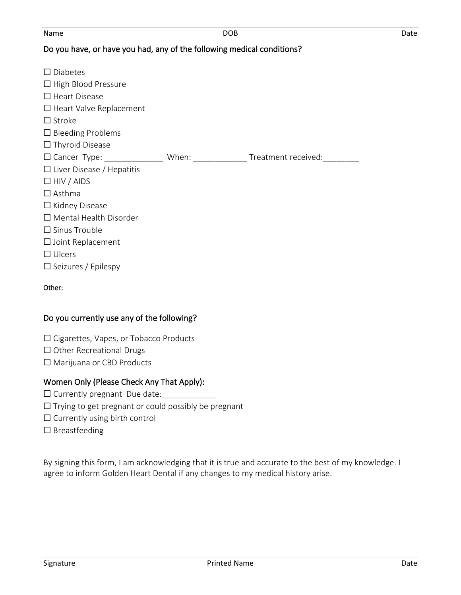#### Name DOB Date

## Do you have, or have you had, any of the following medical conditions?

| $\Box$ Diabetes<br>$\Box$ High Blood Pressure<br>$\Box$ Heart Disease<br>$\Box$ Heart Valve Replacement<br>$\Box$ Stroke<br>$\Box$ Bleeding Problems<br>$\Box$ Thyroid Disease                                                      |                     |
|-------------------------------------------------------------------------------------------------------------------------------------------------------------------------------------------------------------------------------------|---------------------|
| $\Box$ Cancer Type:                                                                                                                                                                                                                 | Treatment received: |
| $\Box$ Liver Disease / Hepatitis<br>$\Box$ HIV / AIDS<br>$\Box$ Asthma<br>$\Box$ Kidney Disease<br>$\Box$ Mental Health Disorder<br>$\Box$ Sinus Trouble<br>$\Box$ Joint Replacement<br>$\Box$ Ulcers<br>$\Box$ Seizures / Epilespy |                     |

#### Other:

#### Do you currently use any of the following?

- ☐ Cigarettes, Vapes, or Tobacco Products
- ☐ Other Recreational Drugs
- ☐ Marijuana or CBD Products

#### Women Only (Please Check Any That Apply):

- $\Box$  Currently pregnant Due date:
- $\Box$  Trying to get pregnant or could possibly be pregnant
- $\Box$  Currently using birth control
- ☐ Breastfeeding

By signing this form, I am acknowledging that it is true and accurate to the best of my knowledge. I agree to inform Golden Heart Dental if any changes to my medical history arise.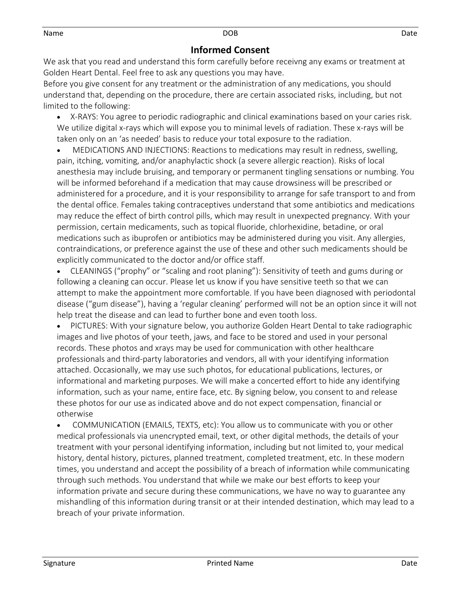### **Informed Consent**

We ask that you read and understand this form carefully before receivng any exams or treatment at Golden Heart Dental. Feel free to ask any questions you may have.

Before you give consent for any treatment or the administration of any medications, you should understand that, depending on the procedure, there are certain associated risks, including, but not limited to the following:

• X-RAYS: You agree to periodic radiographic and clinical examinations based on your caries risk. We utilize digital x-rays which will expose you to minimal levels of radiation. These x-rays will be taken only on an 'as needed' basis to reduce your total exposure to the radiation.

• MEDICATIONS AND INJECTIONS: Reactions to medications may result in redness, swelling, pain, itching, vomiting, and/or anaphylactic shock (a severe allergic reaction). Risks of local anesthesia may include bruising, and temporary or permanent tingling sensations or numbing. You will be informed beforehand if a medication that may cause drowsiness will be prescribed or administered for a procedure, and it is your responsibility to arrange for safe transport to and from the dental office. Females taking contraceptives understand that some antibiotics and medications may reduce the effect of birth control pills, which may result in unexpected pregnancy. With your permission, certain medicaments, such as topical fluoride, chlorhexidine, betadine, or oral medications such as ibuprofen or antibiotics may be administered during you visit. Any allergies, contraindications, or preference against the use of these and other such medicaments should be explicitly communicated to the doctor and/or office staff.

• CLEANINGS ("prophy" or "scaling and root planing"): Sensitivity of teeth and gums during or following a cleaning can occur. Please let us know if you have sensitive teeth so that we can attempt to make the appointment more comfortable. If you have been diagnosed with periodontal disease ("gum disease"), having a 'regular cleaning' performed will not be an option since it will not help treat the disease and can lead to further bone and even tooth loss.

• PICTURES: With your signature below, you authorize Golden Heart Dental to take radiographic images and live photos of your teeth, jaws, and face to be stored and used in your personal records. These photos and xrays may be used for communication with other healthcare professionals and third-party laboratories and vendors, all with your identifying information attached. Occasionally, we may use such photos, for educational publications, lectures, or informational and marketing purposes. We will make a concerted effort to hide any identifying information, such as your name, entire face, etc. By signing below, you consent to and release these photos for our use as indicated above and do not expect compensation, financial or otherwise

• COMMUNICATION (EMAILS, TEXTS, etc): You allow us to communicate with you or other medical professionals via unencrypted email, text, or other digital methods, the details of your treatment with your personal identifying information, including but not limited to, your medical history, dental history, pictures, planned treatment, completed treatment, etc. In these modern times, you understand and accept the possibility of a breach of information while communicating through such methods. You understand that while we make our best efforts to keep your information private and secure during these communications, we have no way to guarantee any mishandling of this information during transit or at their intended destination, which may lead to a breach of your private information.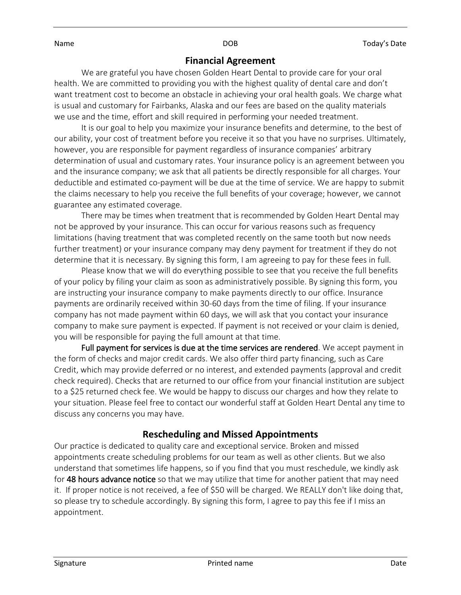### **Financial Agreement**

We are grateful you have chosen Golden Heart Dental to provide care for your oral health. We are committed to providing you with the highest quality of dental care and don't want treatment cost to become an obstacle in achieving your oral health goals. We charge what is usual and customary for Fairbanks, Alaska and our fees are based on the quality materials we use and the time, effort and skill required in performing your needed treatment.

It is our goal to help you maximize your insurance benefits and determine, to the best of our ability, your cost of treatment before you receive it so that you have no surprises. Ultimately, however, you are responsible for payment regardless of insurance companies' arbitrary determination of usual and customary rates. Your insurance policy is an agreement between you and the insurance company; we ask that all patients be directly responsible for all charges. Your deductible and estimated co-payment will be due at the time of service. We are happy to submit the claims necessary to help you receive the full benefits of your coverage; however, we cannot guarantee any estimated coverage.

There may be times when treatment that is recommended by Golden Heart Dental may not be approved by your insurance. This can occur for various reasons such as frequency limitations (having treatment that was completed recently on the same tooth but now needs further treatment) or your insurance company may deny payment for treatment if they do not determine that it is necessary. By signing this form, I am agreeing to pay for these fees in full.

Please know that we will do everything possible to see that you receive the full benefits of your policy by filing your claim as soon as administratively possible. By signing this form, you are instructing your insurance company to make payments directly to our office. Insurance payments are ordinarily received within 30-60 days from the time of filing. If your insurance company has not made payment within 60 days, we will ask that you contact your insurance company to make sure payment is expected. If payment is not received or your claim is denied, you will be responsible for paying the full amount at that time.

Full payment for services is due at the time services are rendered. We accept payment in the form of checks and major credit cards. We also offer third party financing, such as Care Credit, which may provide deferred or no interest, and extended payments (approval and credit check required). Checks that are returned to our office from your financial institution are subject to a \$25 returned check fee. We would be happy to discuss our charges and how they relate to your situation. Please feel free to contact our wonderful staff at Golden Heart Dental any time to discuss any concerns you may have.

### **Rescheduling and Missed Appointments**

Our practice is dedicated to quality care and exceptional service. Broken and missed appointments create scheduling problems for our team as well as other clients. But we also understand that sometimes life happens, so if you find that you must reschedule, we kindly ask for 48 hours advance notice so that we may utilize that time for another patient that may need it. If proper notice is not received, a fee of \$50 will be charged. We REALLY don't like doing that, so please try to schedule accordingly. By signing this form, I agree to pay this fee if I miss an appointment.